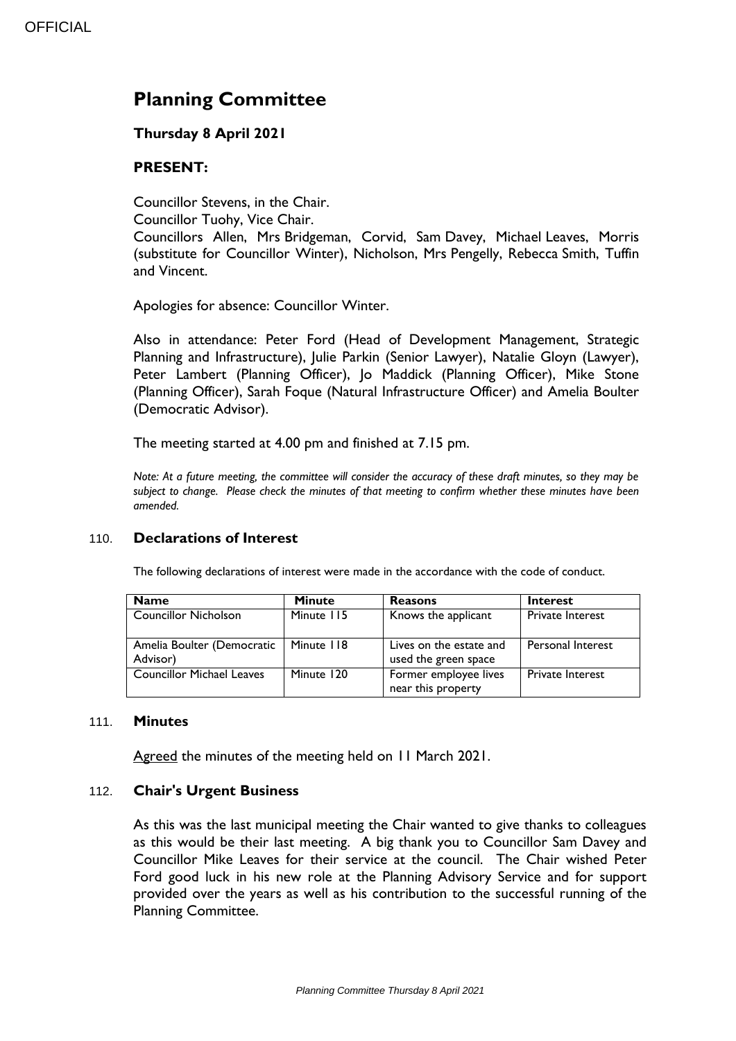# **Planning Committee**

## **Thursday 8 April 2021**

## **PRESENT:**

Councillor Stevens, in the Chair.

Councillor Tuohy, Vice Chair.

Councillors Allen, Mrs Bridgeman, Corvid, Sam Davey, Michael Leaves, Morris (substitute for Councillor Winter), Nicholson, Mrs Pengelly, Rebecca Smith, Tuffin and Vincent.

Apologies for absence: Councillor Winter.

Also in attendance: Peter Ford (Head of Development Management, Strategic Planning and Infrastructure), Julie Parkin (Senior Lawyer), Natalie Gloyn (Lawyer), Peter Lambert (Planning Officer), Jo Maddick (Planning Officer), Mike Stone (Planning Officer), Sarah Foque (Natural Infrastructure Officer) and Amelia Boulter (Democratic Advisor).

The meeting started at 4.00 pm and finished at 7.15 pm.

*Note: At a future meeting, the committee will consider the accuracy of these draft minutes, so they may be subject to change. Please check the minutes of that meeting to confirm whether these minutes have been amended.*

## 110. **Declarations of Interest**

The following declarations of interest were made in the accordance with the code of conduct.

| <b>Name</b>                            | <b>Minute</b> | <b>Reasons</b>                                  | Interest                 |
|----------------------------------------|---------------|-------------------------------------------------|--------------------------|
| <b>Councillor Nicholson</b>            | Minute 115    | Knows the applicant                             | <b>Private Interest</b>  |
| Amelia Boulter (Democratic<br>Advisor) | Minute 118    | Lives on the estate and<br>used the green space | <b>Personal Interest</b> |
| <b>Councillor Michael Leaves</b>       | Minute 120    | Former employee lives<br>near this property     | <b>Private Interest</b>  |

#### 111. **Minutes**

Agreed the minutes of the meeting held on 11 March 2021.

## 112. **Chair's Urgent Business**

As this was the last municipal meeting the Chair wanted to give thanks to colleagues as this would be their last meeting. A big thank you to Councillor Sam Davey and Councillor Mike Leaves for their service at the council. The Chair wished Peter Ford good luck in his new role at the Planning Advisory Service and for support provided over the years as well as his contribution to the successful running of the Planning Committee.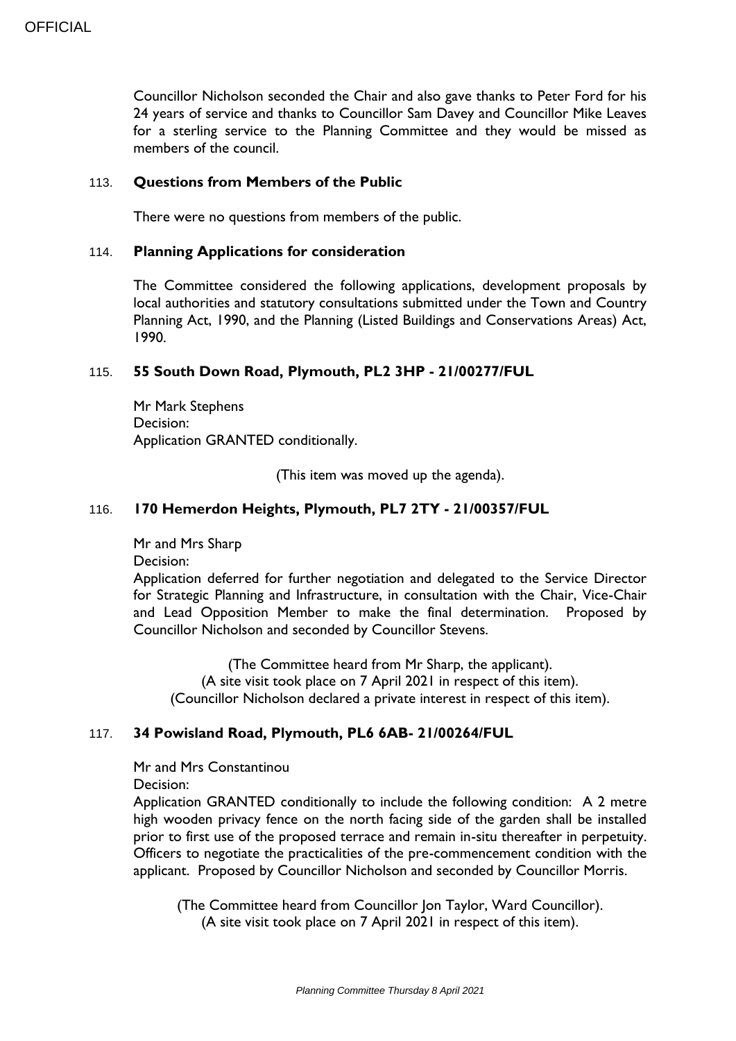Councillor Nicholson seconded the Chair and also gave thanks to Peter Ford for his 24 years of service and thanks to Councillor Sam Davey and Councillor Mike Leaves for a sterling service to the Planning Committee and they would be missed as members of the council.

#### 113. **Questions from Members of the Public**

There were no questions from members of the public.

#### 114. **Planning Applications for consideration**

The Committee considered the following applications, development proposals by local authorities and statutory consultations submitted under the Town and Country Planning Act, 1990, and the Planning (Listed Buildings and Conservations Areas) Act, 1990.

#### 115. **55 South Down Road, Plymouth, PL2 3HP - 21/00277/FUL**

Mr Mark Stephens Decision: Application GRANTED conditionally.

(This item was moved up the agenda).

#### 116. **170 Hemerdon Heights, Plymouth, PL7 2TY - 21/00357/FUL**

Mr and Mrs Sharp Decision:

Application deferred for further negotiation and delegated to the Service Director for Strategic Planning and Infrastructure, in consultation with the Chair, Vice-Chair and Lead Opposition Member to make the final determination. Proposed by Councillor Nicholson and seconded by Councillor Stevens.

(The Committee heard from Mr Sharp, the applicant). (A site visit took place on 7 April 2021 in respect of this item). (Councillor Nicholson declared a private interest in respect of this item).

#### 117. **34 Powisland Road, Plymouth, PL6 6AB- 21/00264/FUL**

Mr and Mrs Constantinou

Decision:

Application GRANTED conditionally to include the following condition: A 2 metre high wooden privacy fence on the north facing side of the garden shall be installed prior to first use of the proposed terrace and remain in-situ thereafter in perpetuity. Officers to negotiate the practicalities of the pre-commencement condition with the applicant. Proposed by Councillor Nicholson and seconded by Councillor Morris.

(The Committee heard from Councillor Jon Taylor, Ward Councillor). (A site visit took place on 7 April 2021 in respect of this item).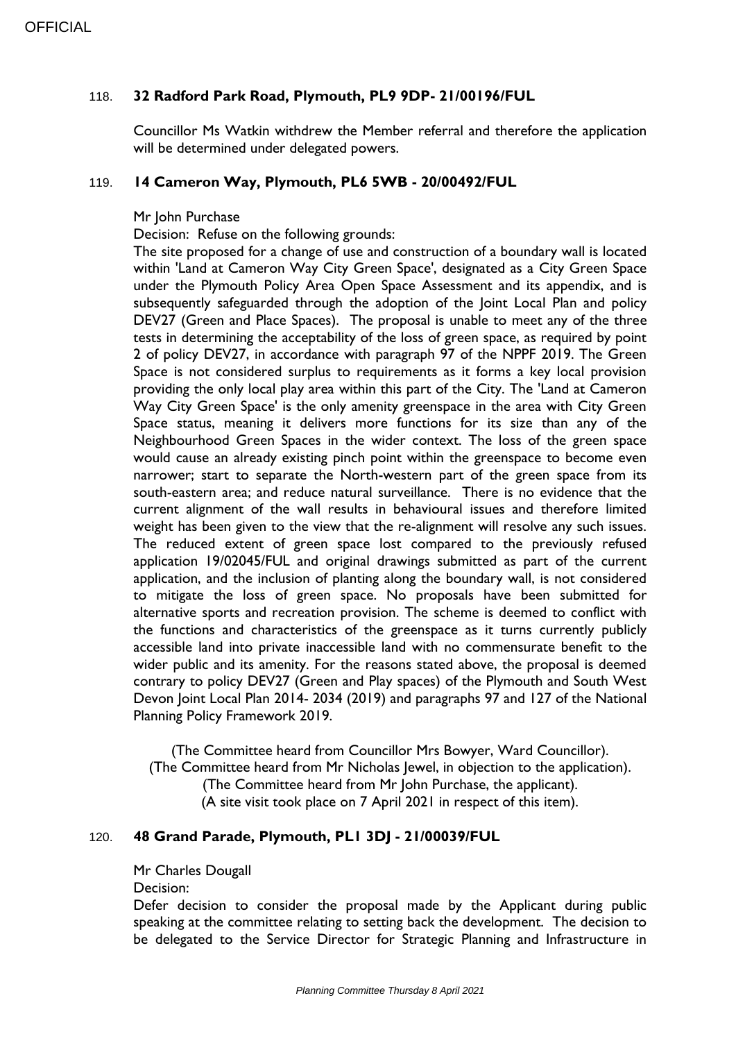## 118. **32 Radford Park Road, Plymouth, PL9 9DP- 21/00196/FUL**

Councillor Ms Watkin withdrew the Member referral and therefore the application will be determined under delegated powers.

#### 119. **14 Cameron Way, Plymouth, PL6 5WB - 20/00492/FUL**

#### Mr John Purchase

Decision: Refuse on the following grounds:

The site proposed for a change of use and construction of a boundary wall is located within 'Land at Cameron Way City Green Space', designated as a City Green Space under the Plymouth Policy Area Open Space Assessment and its appendix, and is subsequently safeguarded through the adoption of the Joint Local Plan and policy DEV27 (Green and Place Spaces). The proposal is unable to meet any of the three tests in determining the acceptability of the loss of green space, as required by point 2 of policy DEV27, in accordance with paragraph 97 of the NPPF 2019. The Green Space is not considered surplus to requirements as it forms a key local provision providing the only local play area within this part of the City. The 'Land at Cameron Way City Green Space' is the only amenity greenspace in the area with City Green Space status, meaning it delivers more functions for its size than any of the Neighbourhood Green Spaces in the wider context. The loss of the green space would cause an already existing pinch point within the greenspace to become even narrower; start to separate the North-western part of the green space from its south-eastern area; and reduce natural surveillance. There is no evidence that the current alignment of the wall results in behavioural issues and therefore limited weight has been given to the view that the re-alignment will resolve any such issues. The reduced extent of green space lost compared to the previously refused application 19/02045/FUL and original drawings submitted as part of the current application, and the inclusion of planting along the boundary wall, is not considered to mitigate the loss of green space. No proposals have been submitted for alternative sports and recreation provision. The scheme is deemed to conflict with the functions and characteristics of the greenspace as it turns currently publicly accessible land into private inaccessible land with no commensurate benefit to the wider public and its amenity. For the reasons stated above, the proposal is deemed contrary to policy DEV27 (Green and Play spaces) of the Plymouth and South West Devon Joint Local Plan 2014- 2034 (2019) and paragraphs 97 and 127 of the National Planning Policy Framework 2019.

(The Committee heard from Councillor Mrs Bowyer, Ward Councillor). (The Committee heard from Mr Nicholas Jewel, in objection to the application). (The Committee heard from Mr John Purchase, the applicant). (A site visit took place on 7 April 2021 in respect of this item).

#### 120. **48 Grand Parade, Plymouth, PL1 3DJ - 21/00039/FUL**

Mr Charles Dougall

Decision:

Defer decision to consider the proposal made by the Applicant during public speaking at the committee relating to setting back the development. The decision to be delegated to the Service Director for Strategic Planning and Infrastructure in